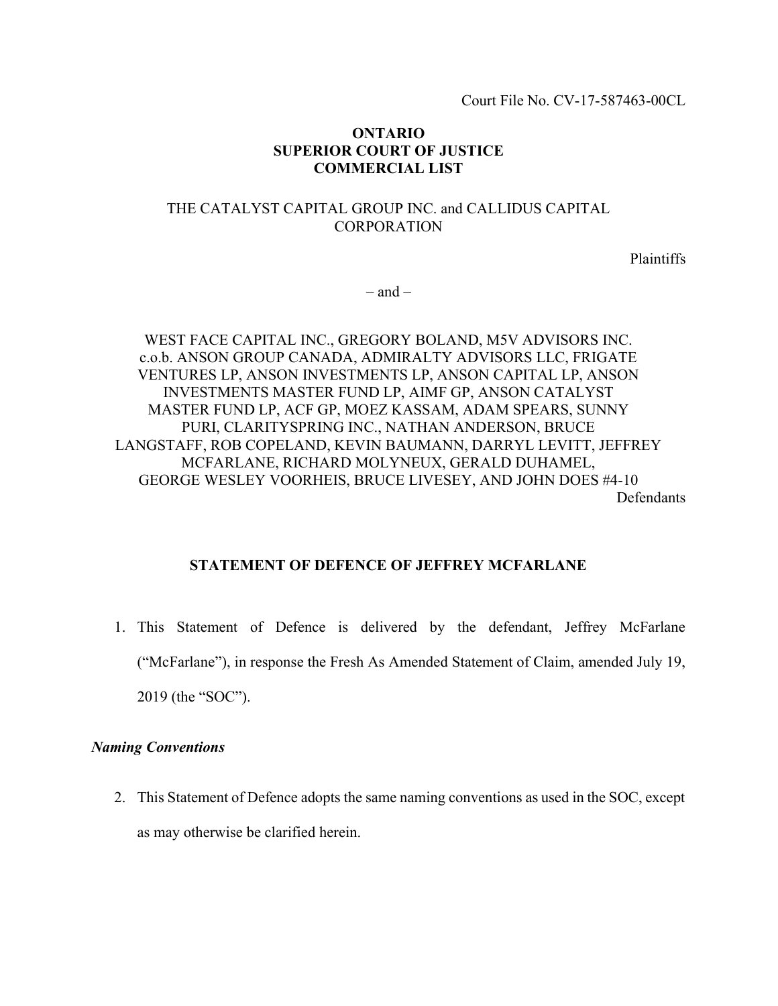Court File No. CV-17-587463-00CL

## ONTARIO SUPERIOR COURT OF JUSTICE COMMERCIAL LIST

# THE CATALYST CAPITAL GROUP INC. and CALLIDUS CAPITAL CORPORATION

Plaintiffs

 $-$  and  $-$ 

WEST FACE CAPITAL INC., GREGORY BOLAND, M5V ADVISORS INC. c.o.b. ANSON GROUP CANADA, ADMIRALTY ADVISORS LLC, FRIGATE VENTURES LP, ANSON INVESTMENTS LP, ANSON CAPITAL LP, ANSON INVESTMENTS MASTER FUND LP, AIMF GP, ANSON CATALYST MASTER FUND LP, ACF GP, MOEZ KASSAM, ADAM SPEARS, SUNNY PURI, CLARITYSPRING INC., NATHAN ANDERSON, BRUCE LANGSTAFF, ROB COPELAND, KEVIN BAUMANN, DARRYL LEVITT, JEFFREY MCFARLANE, RICHARD MOLYNEUX, GERALD DUHAMEL, GEORGE WESLEY VOORHEIS, BRUCE LIVESEY, AND JOHN DOES #4-10 Defendants

## STATEMENT OF DEFENCE OF JEFFREY MCFARLANE

1. This Statement of Defence is delivered by the defendant, Jeffrey McFarlane ("McFarlane"), in response the Fresh As Amended Statement of Claim, amended July 19, 2019 (the "SOC").

### Naming Conventions

2. This Statement of Defence adopts the same naming conventions as used in the SOC, except as may otherwise be clarified herein.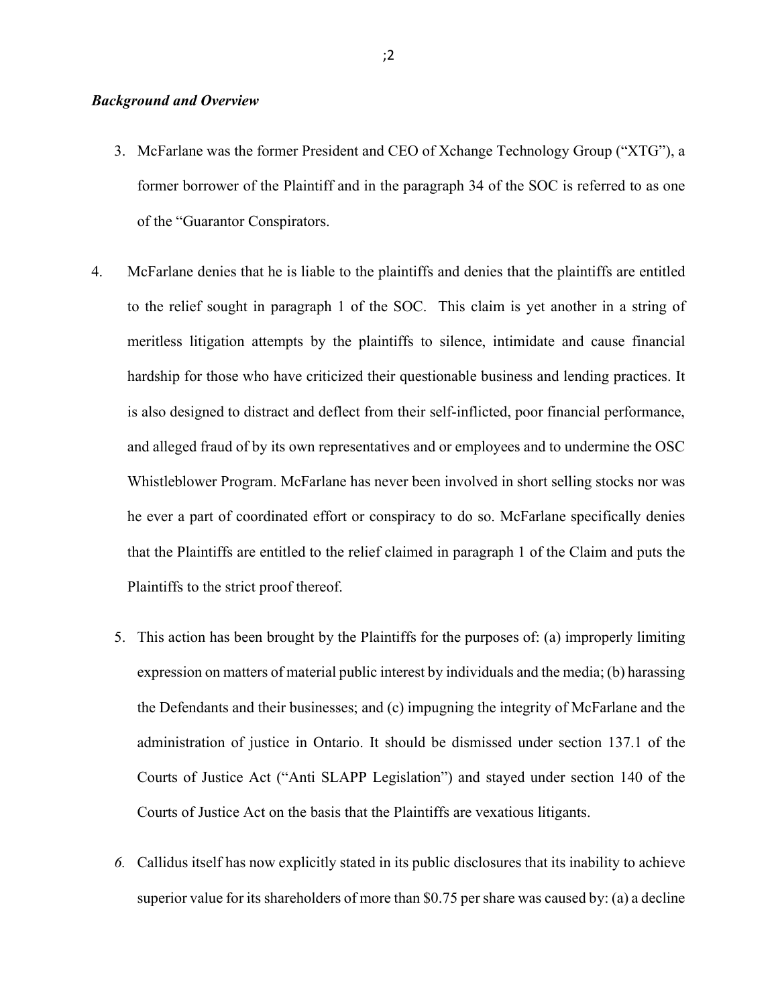### Background and Overview

- 3. McFarlane was the former President and CEO of Xchange Technology Group ("XTG"), a former borrower of the Plaintiff and in the paragraph 34 of the SOC is referred to as one of the "Guarantor Conspirators.
- 4. McFarlane denies that he is liable to the plaintiffs and denies that the plaintiffs are entitled to the relief sought in paragraph 1 of the SOC. This claim is yet another in a string of meritless litigation attempts by the plaintiffs to silence, intimidate and cause financial hardship for those who have criticized their questionable business and lending practices. It is also designed to distract and deflect from their self-inflicted, poor financial performance, and alleged fraud of by its own representatives and or employees and to undermine the OSC Whistleblower Program. McFarlane has never been involved in short selling stocks nor was he ever a part of coordinated effort or conspiracy to do so. McFarlane specifically denies that the Plaintiffs are entitled to the relief claimed in paragraph 1 of the Claim and puts the Plaintiffs to the strict proof thereof.
	- 5. This action has been brought by the Plaintiffs for the purposes of: (a) improperly limiting expression on matters of material public interest by individuals and the media; (b) harassing the Defendants and their businesses; and (c) impugning the integrity of McFarlane and the administration of justice in Ontario. It should be dismissed under section 137.1 of the Courts of Justice Act ("Anti SLAPP Legislation") and stayed under section 140 of the Courts of Justice Act on the basis that the Plaintiffs are vexatious litigants.
	- 6. Callidus itself has now explicitly stated in its public disclosures that its inability to achieve superior value for its shareholders of more than \$0.75 per share was caused by: (a) a decline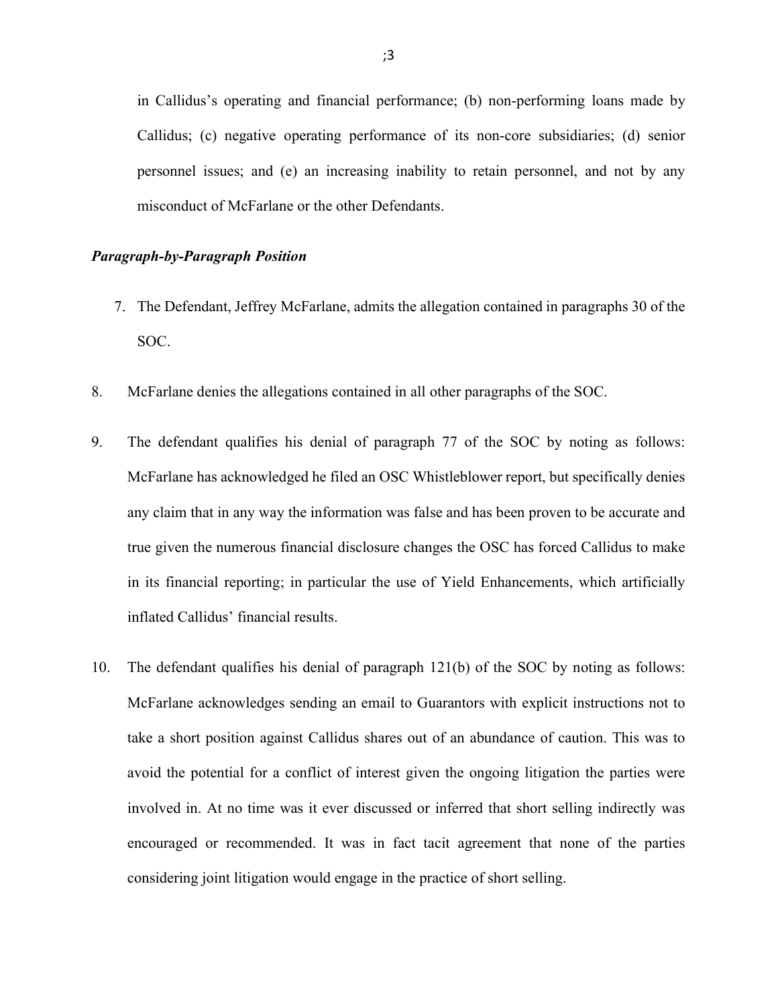in Callidus's operating and financial performance; (b) non-performing loans made by Callidus; (c) negative operating performance of its non-core subsidiaries; (d) senior personnel issues; and (e) an increasing inability to retain personnel, and not by any misconduct of McFarlane or the other Defendants.

#### Paragraph-by-Paragraph Position

- 7. The Defendant, Jeffrey McFarlane, admits the allegation contained in paragraphs 30 of the SOC.
- 8. McFarlane denies the allegations contained in all other paragraphs of the SOC.
- 9. The defendant qualifies his denial of paragraph 77 of the SOC by noting as follows: McFarlane has acknowledged he filed an OSC Whistleblower report, but specifically denies any claim that in any way the information was false and has been proven to be accurate and true given the numerous financial disclosure changes the OSC has forced Callidus to make in its financial reporting; in particular the use of Yield Enhancements, which artificially inflated Callidus' financial results.
- 10. The defendant qualifies his denial of paragraph 121(b) of the SOC by noting as follows: McFarlane acknowledges sending an email to Guarantors with explicit instructions not to take a short position against Callidus shares out of an abundance of caution. This was to avoid the potential for a conflict of interest given the ongoing litigation the parties were involved in. At no time was it ever discussed or inferred that short selling indirectly was encouraged or recommended. It was in fact tacit agreement that none of the parties considering joint litigation would engage in the practice of short selling.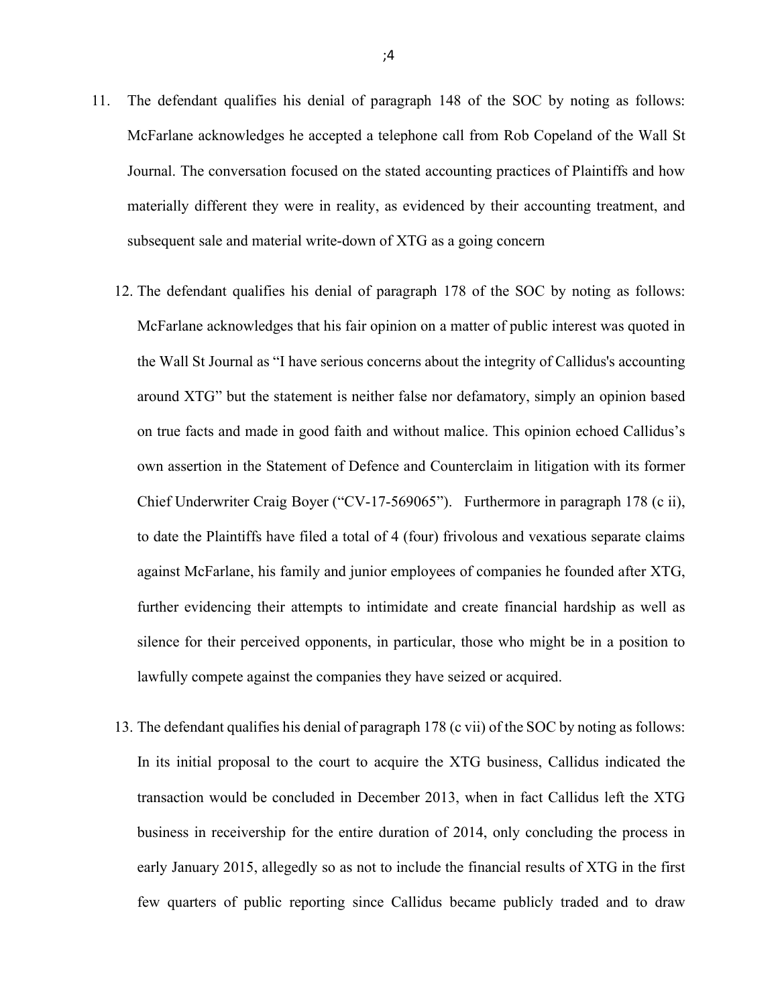- 11. The defendant qualifies his denial of paragraph 148 of the SOC by noting as follows: McFarlane acknowledges he accepted a telephone call from Rob Copeland of the Wall St Journal. The conversation focused on the stated accounting practices of Plaintiffs and how materially different they were in reality, as evidenced by their accounting treatment, and subsequent sale and material write-down of XTG as a going concern
	- 12. The defendant qualifies his denial of paragraph 178 of the SOC by noting as follows: McFarlane acknowledges that his fair opinion on a matter of public interest was quoted in the Wall St Journal as "I have serious concerns about the integrity of Callidus's accounting around XTG" but the statement is neither false nor defamatory, simply an opinion based on true facts and made in good faith and without malice. This opinion echoed Callidus's own assertion in the Statement of Defence and Counterclaim in litigation with its former Chief Underwriter Craig Boyer ("CV-17-569065"). Furthermore in paragraph 178 (c ii), to date the Plaintiffs have filed a total of 4 (four) frivolous and vexatious separate claims against McFarlane, his family and junior employees of companies he founded after XTG, further evidencing their attempts to intimidate and create financial hardship as well as silence for their perceived opponents, in particular, those who might be in a position to lawfully compete against the companies they have seized or acquired.
	- 13. The defendant qualifies his denial of paragraph 178 (c vii) of the SOC by noting as follows: In its initial proposal to the court to acquire the XTG business, Callidus indicated the transaction would be concluded in December 2013, when in fact Callidus left the XTG business in receivership for the entire duration of 2014, only concluding the process in early January 2015, allegedly so as not to include the financial results of XTG in the first few quarters of public reporting since Callidus became publicly traded and to draw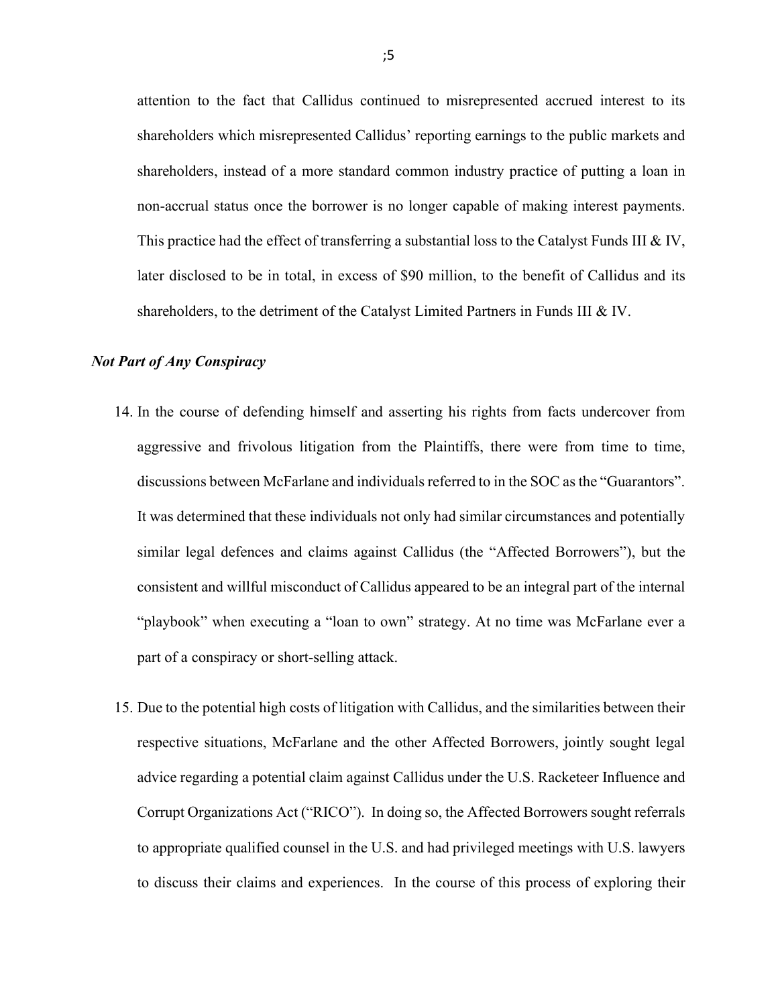attention to the fact that Callidus continued to misrepresented accrued interest to its shareholders which misrepresented Callidus' reporting earnings to the public markets and shareholders, instead of a more standard common industry practice of putting a loan in non-accrual status once the borrower is no longer capable of making interest payments. This practice had the effect of transferring a substantial loss to the Catalyst Funds III & IV, later disclosed to be in total, in excess of \$90 million, to the benefit of Callidus and its shareholders, to the detriment of the Catalyst Limited Partners in Funds III  $&N$ .

#### Not Part of Any Conspiracy

- 14. In the course of defending himself and asserting his rights from facts undercover from aggressive and frivolous litigation from the Plaintiffs, there were from time to time, discussions between McFarlane and individuals referred to in the SOC as the "Guarantors". It was determined that these individuals not only had similar circumstances and potentially similar legal defences and claims against Callidus (the "Affected Borrowers"), but the consistent and willful misconduct of Callidus appeared to be an integral part of the internal "playbook" when executing a "loan to own" strategy. At no time was McFarlane ever a part of a conspiracy or short-selling attack.
- 15. Due to the potential high costs of litigation with Callidus, and the similarities between their respective situations, McFarlane and the other Affected Borrowers, jointly sought legal advice regarding a potential claim against Callidus under the U.S. Racketeer Influence and Corrupt Organizations Act ("RICO"). In doing so, the Affected Borrowers sought referrals to appropriate qualified counsel in the U.S. and had privileged meetings with U.S. lawyers to discuss their claims and experiences. In the course of this process of exploring their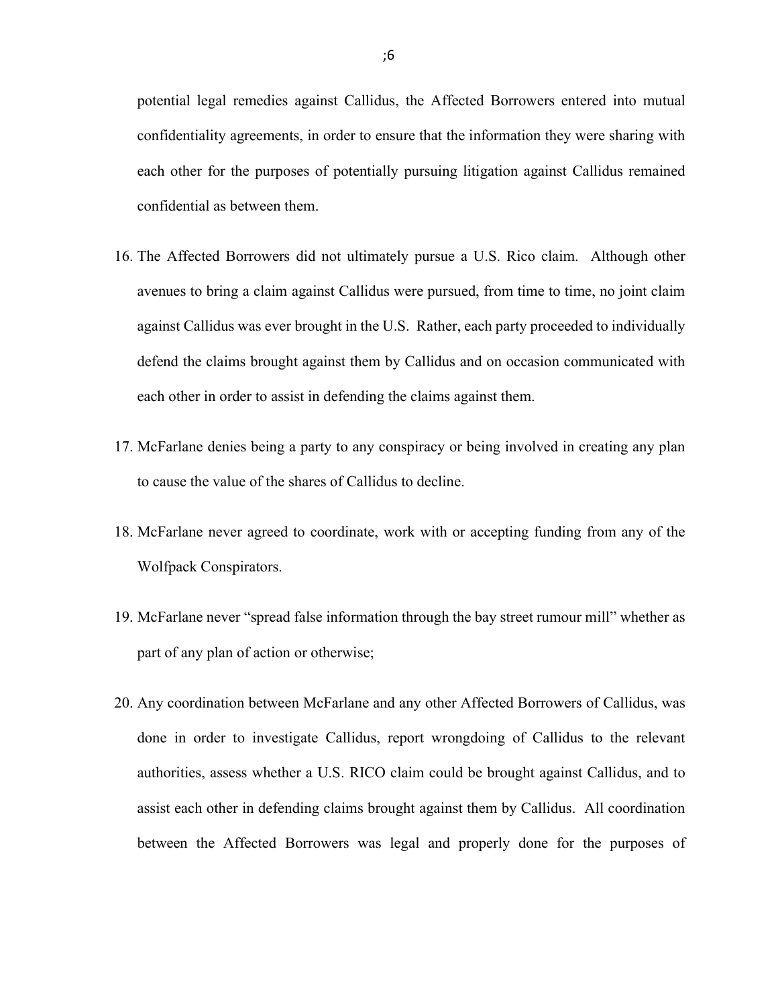potential legal remedies against Callidus, the Affected Borrowers entered into mutual confidentiality agreements, in order to ensure that the information they were sharing with each other for the purposes of potentially pursuing litigation against Callidus remained confidential as between them.

- 16. The Affected Borrowers did not ultimately pursue a U.S. Rico claim. Although other avenues to bring a claim against Callidus were pursued, from time to time, no joint claim against Callidus was ever brought in the U.S. Rather, each party proceeded to individually defend the claims brought against them by Callidus and on occasion communicated with each other in order to assist in defending the claims against them.
- 17. McFarlane denies being a party to any conspiracy or being involved in creating any plan to cause the value of the shares of Callidus to decline.
- 18. McFarlane never agreed to coordinate, work with or accepting funding from any of the Wolfpack Conspirators.
- 19. McFarlane never "spread false information through the bay street rumour mill" whether as part of any plan of action or otherwise;
- 20. Any coordination between McFarlane and any other Affected Borrowers of Callidus, was done in order to investigate Callidus, report wrongdoing of Callidus to the relevant authorities, assess whether a U.S. RICO claim could be brought against Callidus, and to assist each other in defending claims brought against them by Callidus. All coordination between the Affected Borrowers was legal and properly done for the purposes of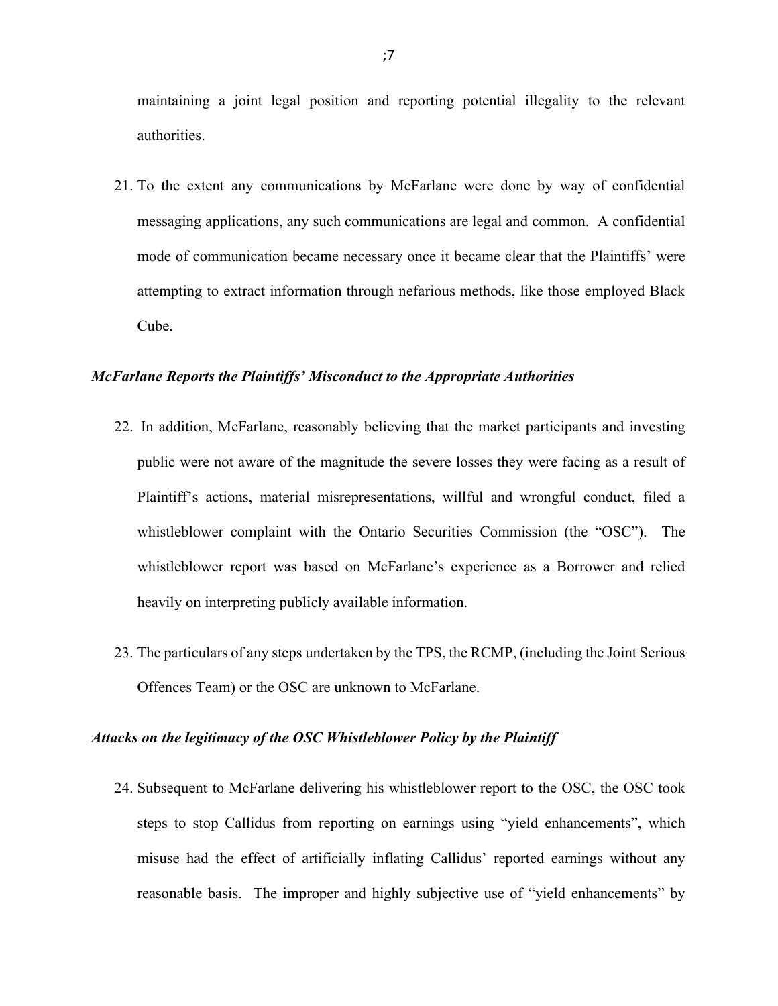maintaining a joint legal position and reporting potential illegality to the relevant authorities.

21. To the extent any communications by McFarlane were done by way of confidential messaging applications, any such communications are legal and common. A confidential mode of communication became necessary once it became clear that the Plaintiffs' were attempting to extract information through nefarious methods, like those employed Black Cube.

#### McFarlane Reports the Plaintiffs' Misconduct to the Appropriate Authorities

- 22. In addition, McFarlane, reasonably believing that the market participants and investing public were not aware of the magnitude the severe losses they were facing as a result of Plaintiff's actions, material misrepresentations, willful and wrongful conduct, filed a whistleblower complaint with the Ontario Securities Commission (the "OSC"). The whistleblower report was based on McFarlane's experience as a Borrower and relied heavily on interpreting publicly available information.
- 23. The particulars of any steps undertaken by the TPS, the RCMP, (including the Joint Serious Offences Team) or the OSC are unknown to McFarlane.

#### Attacks on the legitimacy of the OSC Whistleblower Policy by the Plaintiff

24. Subsequent to McFarlane delivering his whistleblower report to the OSC, the OSC took steps to stop Callidus from reporting on earnings using "yield enhancements", which misuse had the effect of artificially inflating Callidus' reported earnings without any reasonable basis. The improper and highly subjective use of "yield enhancements" by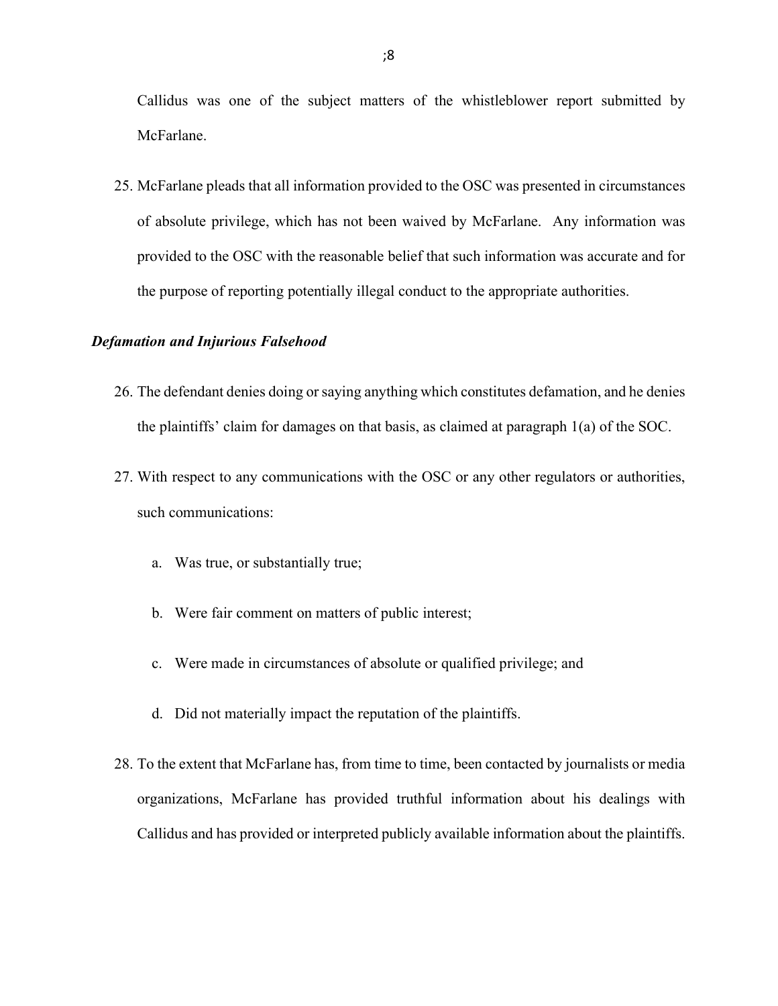Callidus was one of the subject matters of the whistleblower report submitted by McFarlane.

25. McFarlane pleads that all information provided to the OSC was presented in circumstances of absolute privilege, which has not been waived by McFarlane. Any information was provided to the OSC with the reasonable belief that such information was accurate and for the purpose of reporting potentially illegal conduct to the appropriate authorities.

#### Defamation and Injurious Falsehood

- 26. The defendant denies doing or saying anything which constitutes defamation, and he denies the plaintiffs' claim for damages on that basis, as claimed at paragraph 1(a) of the SOC.
- 27. With respect to any communications with the OSC or any other regulators or authorities, such communications:
	- a. Was true, or substantially true;
	- b. Were fair comment on matters of public interest;
	- c. Were made in circumstances of absolute or qualified privilege; and
	- d. Did not materially impact the reputation of the plaintiffs.
- 28. To the extent that McFarlane has, from time to time, been contacted by journalists or media organizations, McFarlane has provided truthful information about his dealings with Callidus and has provided or interpreted publicly available information about the plaintiffs.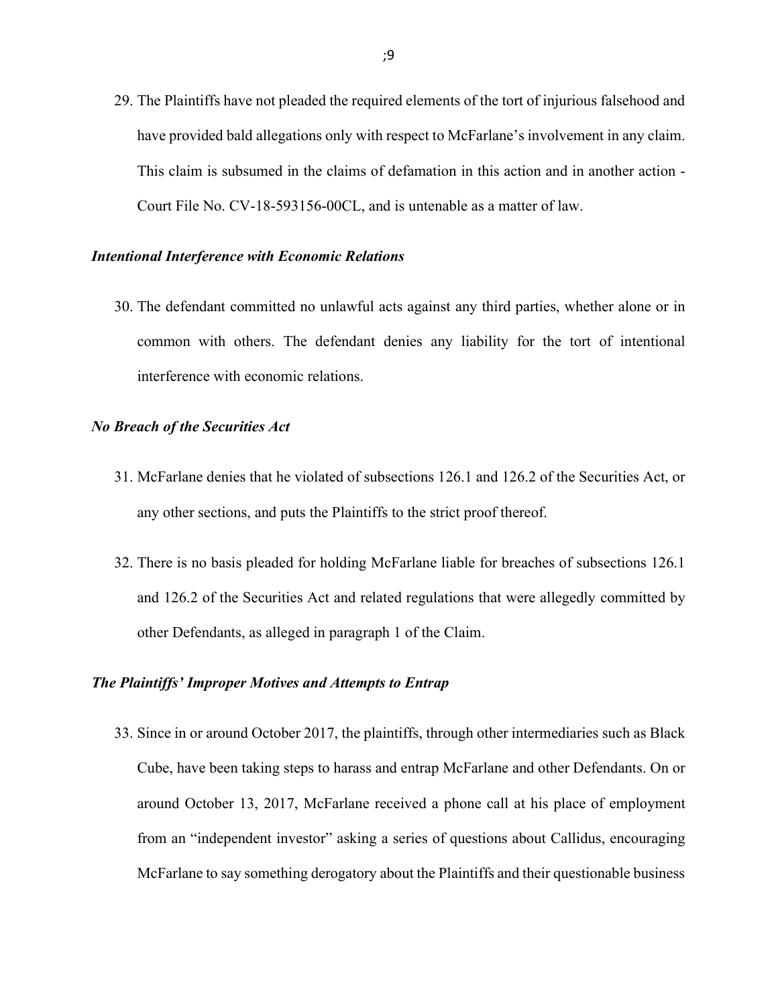29. The Plaintiffs have not pleaded the required elements of the tort of injurious falsehood and have provided bald allegations only with respect to McFarlane's involvement in any claim. This claim is subsumed in the claims of defamation in this action and in another action - Court File No. CV-18-593156-00CL, and is untenable as a matter of law.

#### Intentional Interference with Economic Relations

30. The defendant committed no unlawful acts against any third parties, whether alone or in common with others. The defendant denies any liability for the tort of intentional interference with economic relations.

### No Breach of the Securities Act

- 31. McFarlane denies that he violated of subsections 126.1 and 126.2 of the Securities Act, or any other sections, and puts the Plaintiffs to the strict proof thereof.
- 32. There is no basis pleaded for holding McFarlane liable for breaches of subsections 126.1 and 126.2 of the Securities Act and related regulations that were allegedly committed by other Defendants, as alleged in paragraph 1 of the Claim.

### The Plaintiffs' Improper Motives and Attempts to Entrap

33. Since in or around October 2017, the plaintiffs, through other intermediaries such as Black Cube, have been taking steps to harass and entrap McFarlane and other Defendants. On or around October 13, 2017, McFarlane received a phone call at his place of employment from an "independent investor" asking a series of questions about Callidus, encouraging McFarlane to say something derogatory about the Plaintiffs and their questionable business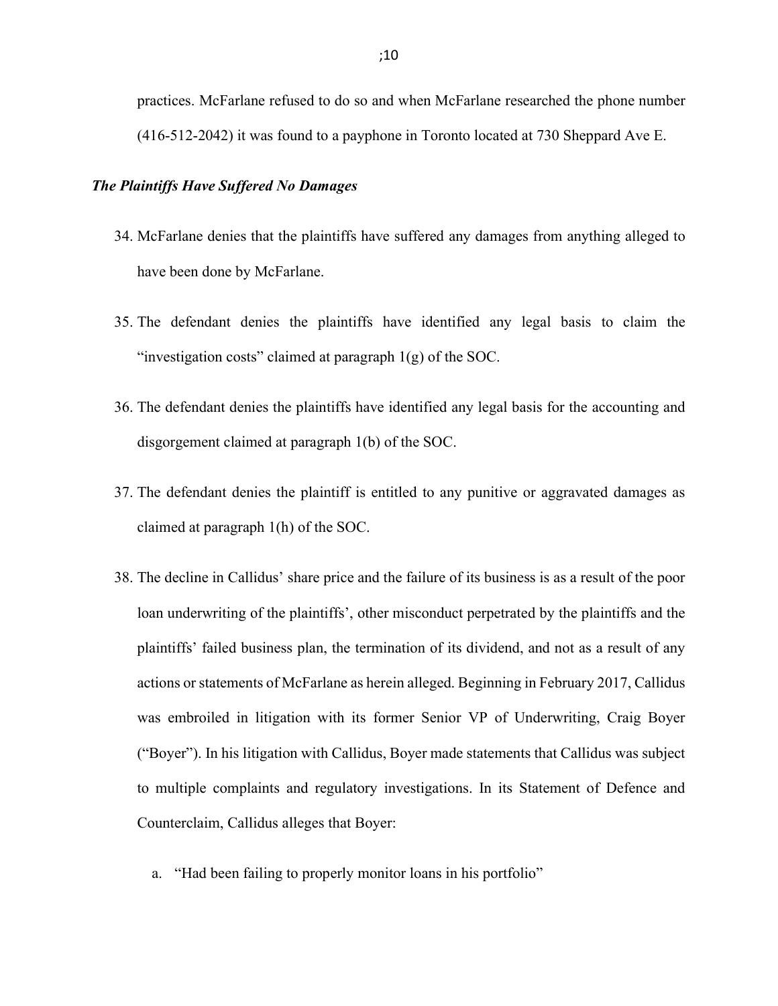practices. McFarlane refused to do so and when McFarlane researched the phone number (416-512-2042) it was found to a payphone in Toronto located at 730 Sheppard Ave E.

#### The Plaintiffs Have Suffered No Damages

- 34. McFarlane denies that the plaintiffs have suffered any damages from anything alleged to have been done by McFarlane.
- 35. The defendant denies the plaintiffs have identified any legal basis to claim the "investigation costs" claimed at paragraph 1(g) of the SOC.
- 36. The defendant denies the plaintiffs have identified any legal basis for the accounting and disgorgement claimed at paragraph 1(b) of the SOC.
- 37. The defendant denies the plaintiff is entitled to any punitive or aggravated damages as claimed at paragraph 1(h) of the SOC.
- 38. The decline in Callidus' share price and the failure of its business is as a result of the poor loan underwriting of the plaintiffs', other misconduct perpetrated by the plaintiffs and the plaintiffs' failed business plan, the termination of its dividend, and not as a result of any actions or statements of McFarlane as herein alleged. Beginning in February 2017, Callidus was embroiled in litigation with its former Senior VP of Underwriting, Craig Boyer ("Boyer"). In his litigation with Callidus, Boyer made statements that Callidus was subject to multiple complaints and regulatory investigations. In its Statement of Defence and Counterclaim, Callidus alleges that Boyer:
	- a. "Had been failing to properly monitor loans in his portfolio"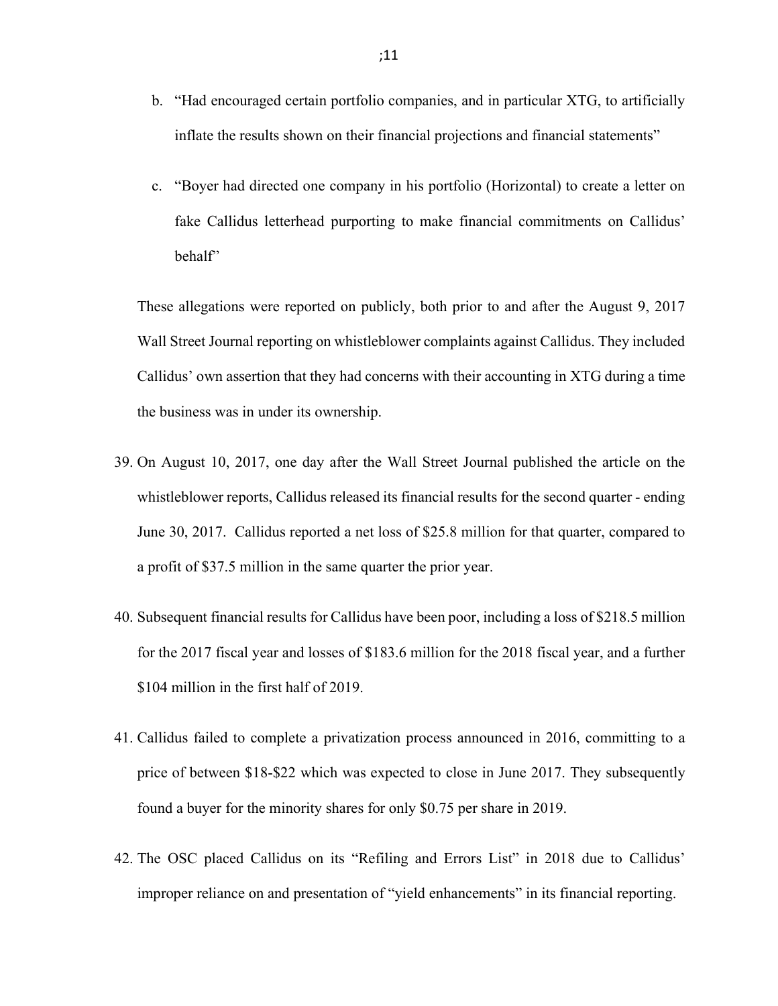- b. "Had encouraged certain portfolio companies, and in particular XTG, to artificially inflate the results shown on their financial projections and financial statements"
- c. "Boyer had directed one company in his portfolio (Horizontal) to create a letter on fake Callidus letterhead purporting to make financial commitments on Callidus' behalf"

These allegations were reported on publicly, both prior to and after the August 9, 2017 Wall Street Journal reporting on whistleblower complaints against Callidus. They included Callidus' own assertion that they had concerns with their accounting in XTG during a time the business was in under its ownership.

- 39. On August 10, 2017, one day after the Wall Street Journal published the article on the whistleblower reports, Callidus released its financial results for the second quarter - ending June 30, 2017. Callidus reported a net loss of \$25.8 million for that quarter, compared to a profit of \$37.5 million in the same quarter the prior year.
- 40. Subsequent financial results for Callidus have been poor, including a loss of \$218.5 million for the 2017 fiscal year and losses of \$183.6 million for the 2018 fiscal year, and a further \$104 million in the first half of 2019.
- 41. Callidus failed to complete a privatization process announced in 2016, committing to a price of between \$18-\$22 which was expected to close in June 2017. They subsequently found a buyer for the minority shares for only \$0.75 per share in 2019.
- 42. The OSC placed Callidus on its "Refiling and Errors List" in 2018 due to Callidus' improper reliance on and presentation of "yield enhancements" in its financial reporting.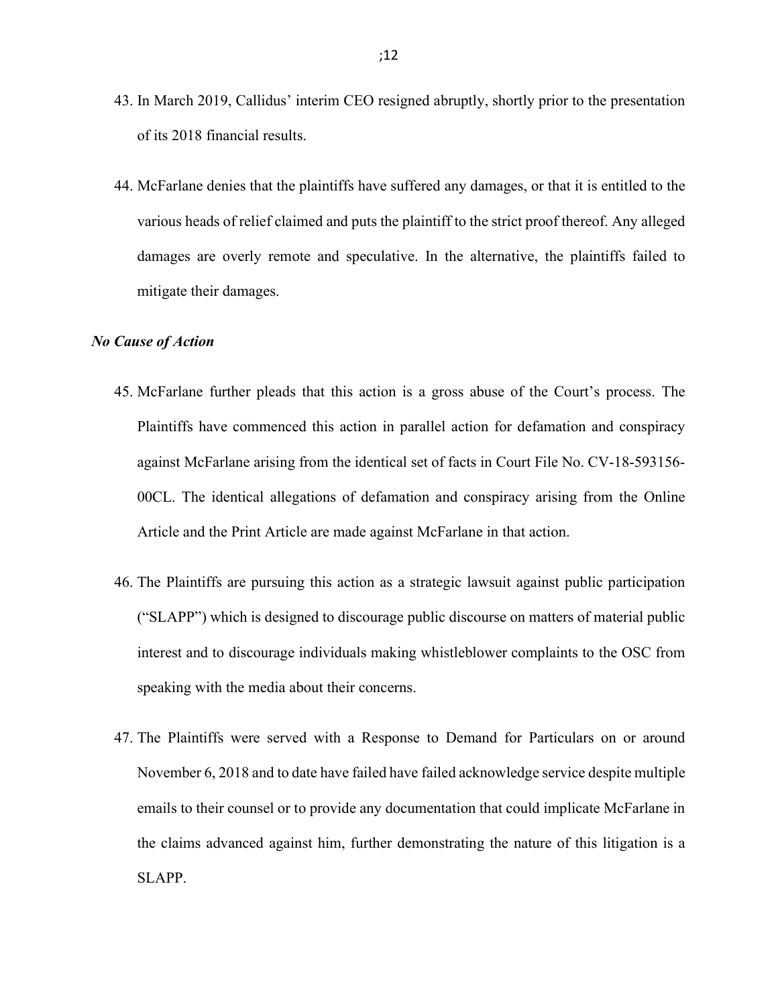- 43. In March 2019, Callidus' interim CEO resigned abruptly, shortly prior to the presentation of its 2018 financial results.
- 44. McFarlane denies that the plaintiffs have suffered any damages, or that it is entitled to the various heads of relief claimed and puts the plaintiff to the strict proof thereof. Any alleged damages are overly remote and speculative. In the alternative, the plaintiffs failed to mitigate their damages.

#### No Cause of Action

- 45. McFarlane further pleads that this action is a gross abuse of the Court's process. The Plaintiffs have commenced this action in parallel action for defamation and conspiracy against McFarlane arising from the identical set of facts in Court File No. CV-18-593156- 00CL. The identical allegations of defamation and conspiracy arising from the Online Article and the Print Article are made against McFarlane in that action.
- 46. The Plaintiffs are pursuing this action as a strategic lawsuit against public participation ("SLAPP") which is designed to discourage public discourse on matters of material public interest and to discourage individuals making whistleblower complaints to the OSC from speaking with the media about their concerns.
- 47. The Plaintiffs were served with a Response to Demand for Particulars on or around November 6, 2018 and to date have failed have failed acknowledge service despite multiple emails to their counsel or to provide any documentation that could implicate McFarlane in the claims advanced against him, further demonstrating the nature of this litigation is a SLAPP.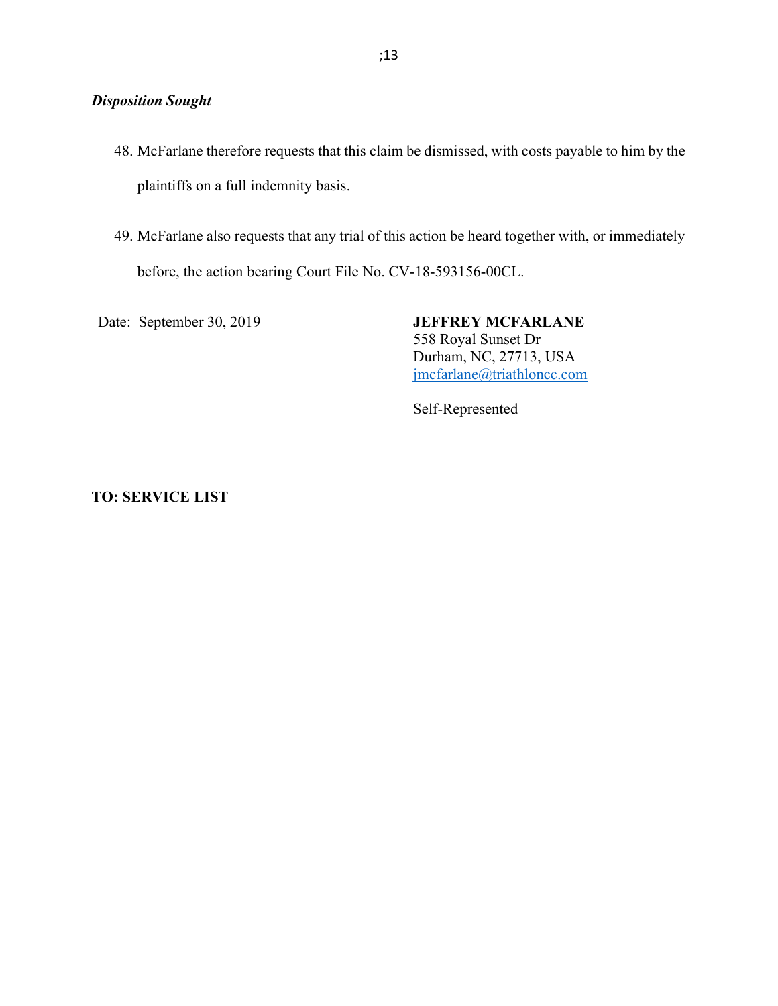# Disposition Sought

- 48. McFarlane therefore requests that this claim be dismissed, with costs payable to him by the plaintiffs on a full indemnity basis.
- 49. McFarlane also requests that any trial of this action be heard together with, or immediately before, the action bearing Court File No. CV-18-593156-00CL.

Date: September 30, 2019 JEFFREY MCFARLANE 558 Royal Sunset Dr Durham, NC, 27713, USA jmcfarlane@triathloncc.com

Self-Represented

## TO: SERVICE LIST